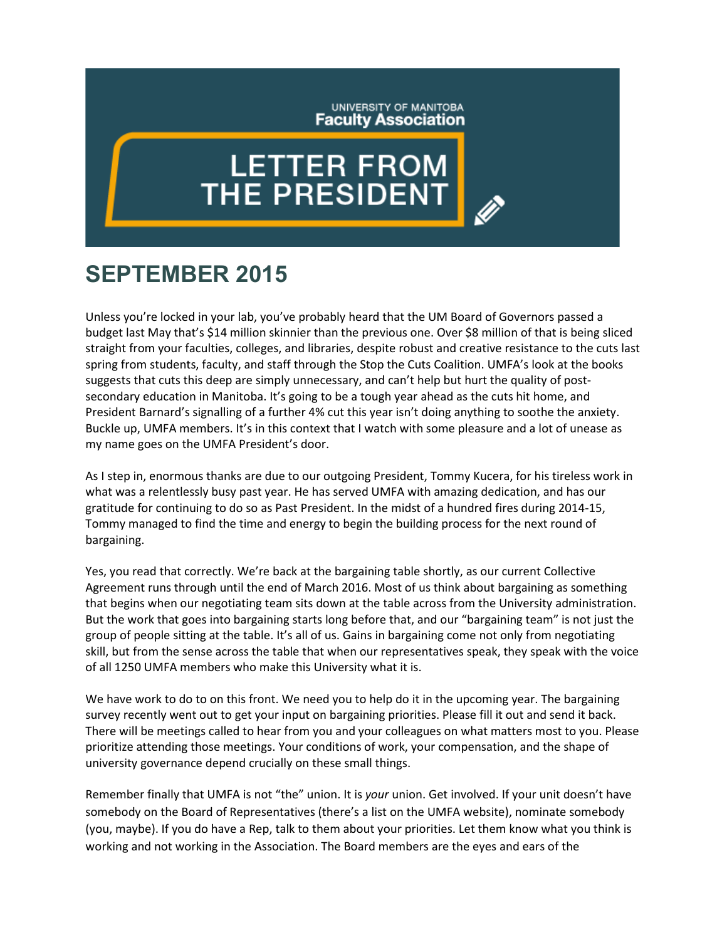## UNIVERSITY OF MANITOBA **Faculty Association**

## **LETTER FROM**<br>THE PRESIDENT

## **SEPTEMBER 2015**

Unless you're locked in your lab, you've probably heard that the UM Board of Governors passed a budget last May that's \$14 million skinnier than the previous one. Over \$8 million of that is being sliced straight from your faculties, colleges, and libraries, despite robust and creative resistance to the cuts last spring from students, faculty, and staff through the Stop the Cuts Coalition. UMFA's look at the books suggests that cuts this deep are simply unnecessary, and can't help but hurt the quality of postsecondary education in Manitoba. It's going to be a tough year ahead as the cuts hit home, and President Barnard's signalling of a further 4% cut this year isn't doing anything to soothe the anxiety. Buckle up, UMFA members. It's in this context that I watch with some pleasure and a lot of unease as my name goes on the UMFA President's door.

As I step in, enormous thanks are due to our outgoing President, Tommy Kucera, for his tireless work in what was a relentlessly busy past year. He has served UMFA with amazing dedication, and has our gratitude for continuing to do so as Past President. In the midst of a hundred fires during 2014-15, Tommy managed to find the time and energy to begin the building process for the next round of bargaining.

Yes, you read that correctly. We're back at the bargaining table shortly, as our current Collective Agreement runs through until the end of March 2016. Most of us think about bargaining as something that begins when our negotiating team sits down at the table across from the University administration. But the work that goes into bargaining starts long before that, and our "bargaining team" is not just the group of people sitting at the table. It's all of us. Gains in bargaining come not only from negotiating skill, but from the sense across the table that when our representatives speak, they speak with the voice of all 1250 UMFA members who make this University what it is.

We have work to do to on this front. We need you to help do it in the upcoming year. The bargaining survey recently went out to get your input on bargaining priorities. Please fill it out and send it back. There will be meetings called to hear from you and your colleagues on what matters most to you. Please prioritize attending those meetings. Your conditions of work, your compensation, and the shape of university governance depend crucially on these small things.

Remember finally that UMFA is not "the" union. It is *your* union. Get involved. If your unit doesn't have somebody on the Board of Representatives (there's a list on the UMFA website), nominate somebody (you, maybe). If you do have a Rep, talk to them about your priorities. Let them know what you think is working and not working in the Association. The Board members are the eyes and ears of the